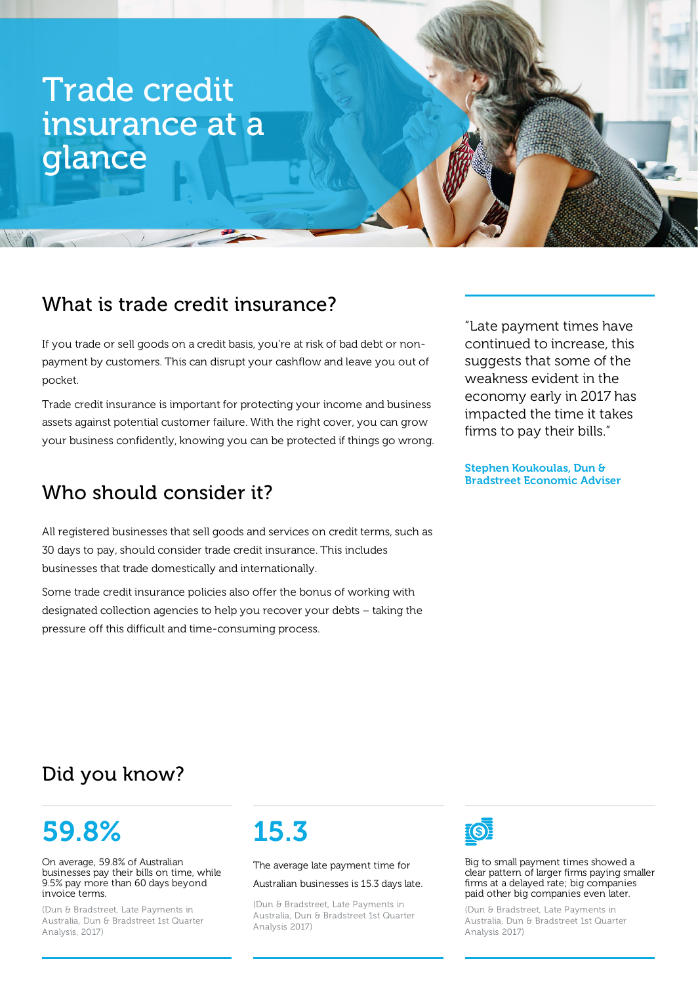# Trade credit insurance at a glance

### What is trade credit insurance?

If you trade or sell goods on a credit basis, you're at risk of bad debt or nonpayment by customers. This can disrupt your cashflow and leave you out of pocket.

Trade credit insurance is important for protecting your income and business assets against potential customer failure. With the right cover, you can grow your business confidently, knowing you can be protected if things go wrong.

## Who should consider it?

All registered businesses that sell goods and services on credit terms, such as 30 days to pay, should consider trade credit insurance. This includes businesses that trade domestically and internationally.

Some trade credit insurance policies also offer the bonus of working with designated collection agencies to help you recover your debts – taking the pressure off this difficult and time-consuming process.

"Late payment times have continued to increase, this suggests that some of the weakness evident in the economy early in 2017 has impacted the time it takes firms to pay their bills."

Stephen Koukoulas, Dun & Bradstreet Economic Adviser

## Did you know?

# 59.8%

On average, 59.8% of Australian businesses pay their bills on time, while 9.5% pay more than 60 days beyond invoice terms.

(Dun & Bradstreet, Late Payments in Australia, Dun & Bradstreet 1st Quarter Analysis, 2017)

# 15.3

The average late payment time for

Australian businesses is 15.3 days late.

(Dun & Bradstreet, Late Payments in Australia, Dun & Bradstreet 1st Quarter Analysis 2017)



Big to small payment times showed a clear pattern of larger firms paying smaller firms at a delayed rate; big companies paid other big companies even later.

(Dun & Bradstreet, Late Payments in Australia, Dun & Bradstreet 1st Quarter Analysis 2017)